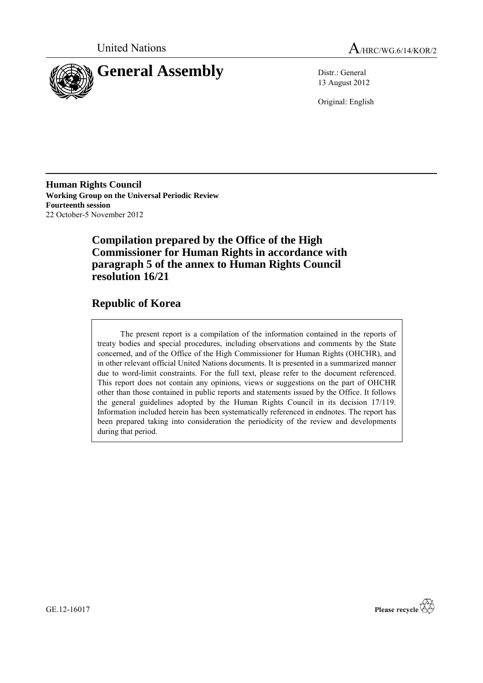



13 August 2012

Original: English

**Human Rights Council Working Group on the Universal Periodic Review Fourteenth session** 22 October-5 November 2012

# **Compilation prepared by the Office of the High Commissioner for Human Rights in accordance with paragraph 5 of the annex to Human Rights Council resolution 16/21**

# **Republic of Korea**

The present report is a compilation of the information contained in the reports of treaty bodies and special procedures, including observations and comments by the State concerned, and of the Office of the High Commissioner for Human Rights (OHCHR), and in other relevant official United Nations documents. It is presented in a summarized manner due to word-limit constraints. For the full text, please refer to the document referenced. This report does not contain any opinions, views or suggestions on the part of OHCHR other than those contained in public reports and statements issued by the Office. It follows the general guidelines adopted by the Human Rights Council in its decision 17/119. Information included herein has been systematically referenced in endnotes. The report has been prepared taking into consideration the periodicity of the review and developments during that period.



GE.12-16017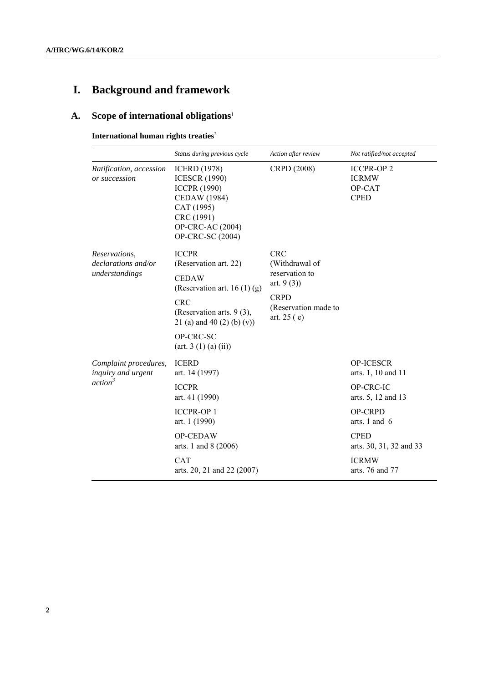# **I. Background and framework**

# **A. Scope of international obligations**<sup>1</sup>

**International human rights treaties**<sup>2</sup>

|                                                                    | Status during previous cycle                                                                                                                                        | Action after review                                                                                                  | Not ratified/not accepted                                 |
|--------------------------------------------------------------------|---------------------------------------------------------------------------------------------------------------------------------------------------------------------|----------------------------------------------------------------------------------------------------------------------|-----------------------------------------------------------|
| Ratification, accession<br>or succession                           | <b>ICERD</b> (1978)<br><b>ICESCR (1990)</b><br><b>ICCPR (1990)</b><br>CEDAW (1984)<br>CAT (1995)<br>CRC (1991)<br>OP-CRC-AC (2004)<br>OP-CRC-SC (2004)              | CRPD (2008)                                                                                                          | <b>ICCPR-OP2</b><br><b>ICRMW</b><br>OP-CAT<br><b>CPED</b> |
| Reservations,<br><i>declarations and/or</i><br>understandings      | <b>ICCPR</b><br>(Reservation art. 22)<br><b>CEDAW</b><br>(Reservation art. 16 $(1)$ $(g)$ )<br><b>CRC</b><br>(Reservation arts. 9(3),<br>21 (a) and 40 (2) (b) (v)) | <b>CRC</b><br>(Withdrawal of<br>reservation to<br>art. $9(3)$<br><b>CRPD</b><br>(Reservation made to<br>art. $25(e)$ |                                                           |
|                                                                    | OP-CRC-SC<br>(art. 3 (1) (a) (ii))                                                                                                                                  |                                                                                                                      |                                                           |
| Complaint procedures,<br>inquiry and urgent<br>action <sup>3</sup> | <b>ICERD</b><br>art. 14 (1997)                                                                                                                                      |                                                                                                                      | <b>OP-ICESCR</b><br>arts. 1, 10 and 11                    |
|                                                                    | <b>ICCPR</b><br>art. 41 (1990)                                                                                                                                      |                                                                                                                      | OP-CRC-IC<br>arts. 5, 12 and 13                           |
|                                                                    | <b>ICCPR-OP 1</b><br>art. 1 (1990)                                                                                                                                  |                                                                                                                      | <b>OP-CRPD</b><br>arts. $1$ and $6$                       |
|                                                                    | <b>OP-CEDAW</b><br>arts. 1 and 8 (2006)                                                                                                                             |                                                                                                                      | <b>CPED</b><br>arts. 30, 31, 32 and 33                    |
|                                                                    | <b>CAT</b><br>arts. 20, 21 and 22 (2007)                                                                                                                            |                                                                                                                      | <b>ICRMW</b><br>arts. 76 and 77                           |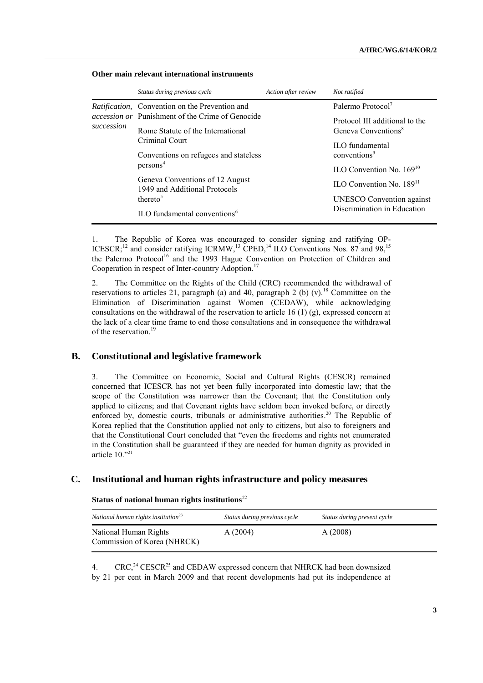| Status during previous cycle                                                                                                                                                                                                                                 | Action after review                                     | Not ratified                    |
|--------------------------------------------------------------------------------------------------------------------------------------------------------------------------------------------------------------------------------------------------------------|---------------------------------------------------------|---------------------------------|
| <i>Ratification</i> , Convention on the Prevention and                                                                                                                                                                                                       |                                                         | Palermo Protocol <sup>7</sup>   |
|                                                                                                                                                                                                                                                              |                                                         | Protocol III additional to the  |
| Rome Statute of the International<br>Criminal Court<br>Conventions on refugees and stateless<br>persons <sup>4</sup><br>Geneva Conventions of 12 August<br>1949 and Additional Protocols<br>thereto <sup>5</sup><br>ILO fundamental conventions <sup>6</sup> |                                                         | Geneva Conventions <sup>8</sup> |
|                                                                                                                                                                                                                                                              |                                                         | <b>ILO</b> fundamental          |
|                                                                                                                                                                                                                                                              |                                                         | conventions <sup>9</sup>        |
|                                                                                                                                                                                                                                                              |                                                         | ILO Convention No. $169^{10}$   |
|                                                                                                                                                                                                                                                              |                                                         | ILO Convention No. $18911$      |
|                                                                                                                                                                                                                                                              |                                                         | UNESCO Convention against       |
|                                                                                                                                                                                                                                                              |                                                         | Discrimination in Education     |
|                                                                                                                                                                                                                                                              | <i>accession or</i> Punishment of the Crime of Genocide |                                 |

#### **Other main relevant international instruments**

1. The Republic of Korea was encouraged to consider signing and ratifying OP-ICESCR;<sup>12</sup> and consider ratifying ICRMW,<sup>13</sup> CPED,<sup>14</sup> ILO Conventions Nos. 87 and 98,<sup>15</sup> the Palermo Protocol<sup>16</sup> and the 1993 Hague Convention on Protection of Children and Cooperation in respect of Inter-country Adoption.<sup>17</sup>

2. The Committee on the Rights of the Child (CRC) recommended the withdrawal of reservations to articles 21, paragraph (a) and 40, paragraph 2 (b)  $(v)$ .<sup>18</sup> Committee on the Elimination of Discrimination against Women (CEDAW), while acknowledging consultations on the withdrawal of the reservation to article 16 (1) (g), expressed concern at the lack of a clear time frame to end those consultations and in consequence the withdrawal of the reservation.<sup>19</sup>

#### **B. Constitutional and legislative framework**

3. The Committee on Economic, Social and Cultural Rights (CESCR) remained concerned that ICESCR has not yet been fully incorporated into domestic law; that the scope of the Constitution was narrower than the Covenant; that the Constitution only applied to citizens; and that Covenant rights have seldom been invoked before, or directly enforced by, domestic courts, tribunals or administrative authorities.<sup>20</sup> The Republic of Korea replied that the Constitution applied not only to citizens, but also to foreigners and that the Constitutional Court concluded that "even the freedoms and rights not enumerated in the Constitution shall be guaranteed if they are needed for human dignity as provided in article 10." 21

#### **C. Institutional and human rights infrastructure and policy measures**

| National human rights institution <sup>23</sup>      | Status during previous cycle | Status during present cycle |
|------------------------------------------------------|------------------------------|-----------------------------|
| National Human Rights<br>Commission of Korea (NHRCK) | A(2004)                      | A(2008)                     |

#### **Status of national human rights institutions**<sup>22</sup>

4. CRC,<sup>24</sup> CESCR<sup>25</sup> and CEDAW expressed concern that NHRCK had been downsized by 21 per cent in March 2009 and that recent developments had put its independence at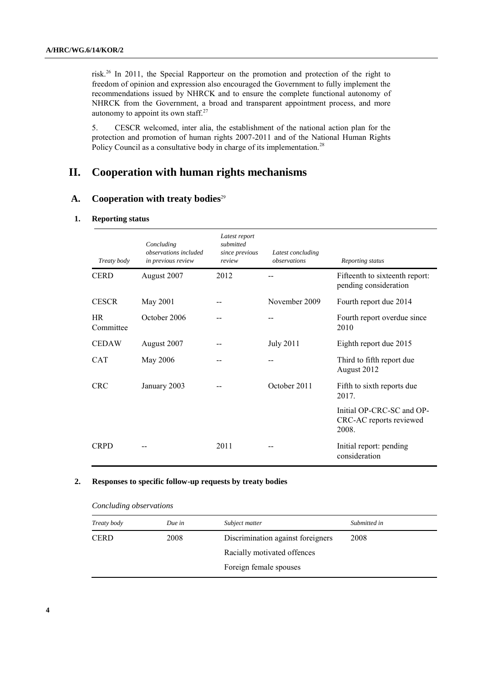risk.<sup>26</sup> In 2011, the Special Rapporteur on the promotion and protection of the right to freedom of opinion and expression also encouraged the Government to fully implement the recommendations issued by NHRCK and to ensure the complete functional autonomy of NHRCK from the Government, a broad and transparent appointment process, and more autonomy to appoint its own staff. $27$ 

5. CESCR welcomed, inter alia, the establishment of the national action plan for the protection and promotion of human rights 2007-2011 and of the National Human Rights Policy Council as a consultative body in charge of its implementation.<sup>28</sup>

## **II. Cooperation with human rights mechanisms**

## A. Cooperation with treaty bodies<sup>29</sup>

#### **1. Reporting status**

| Treaty body            | Concluding<br>observations included<br>in previous review | Latest report<br>submitted<br>since previous<br>review | Latest concluding<br>observations | Reporting status                                              |
|------------------------|-----------------------------------------------------------|--------------------------------------------------------|-----------------------------------|---------------------------------------------------------------|
| <b>CERD</b>            | August 2007                                               | 2012                                                   |                                   | Fifteenth to sixteenth report:<br>pending consideration       |
| <b>CESCR</b>           | May 2001                                                  |                                                        | November 2009                     | Fourth report due 2014                                        |
| <b>HR</b><br>Committee | October 2006                                              |                                                        |                                   | Fourth report overdue since<br>2010                           |
| <b>CEDAW</b>           | August 2007                                               |                                                        | <b>July 2011</b>                  | Eighth report due 2015                                        |
| <b>CAT</b>             | May 2006                                                  |                                                        |                                   | Third to fifth report due<br>August 2012                      |
| <b>CRC</b>             | January 2003                                              |                                                        | October 2011                      | Fifth to sixth reports due<br>2017.                           |
|                        |                                                           |                                                        |                                   | Initial OP-CRC-SC and OP-<br>CRC-AC reports reviewed<br>2008. |
| <b>CRPD</b>            |                                                           | 2011                                                   |                                   | Initial report: pending<br>consideration                      |

#### **2. Responses to specific follow-up requests by treaty bodies**

| Treaty body | Due in | Subject matter                    | Submitted in |
|-------------|--------|-----------------------------------|--------------|
| <b>CERD</b> | 2008   | Discrimination against foreigners | 2008         |
|             |        | Racially motivated offences       |              |
|             |        | Foreign female spouses            |              |

*Concluding observations*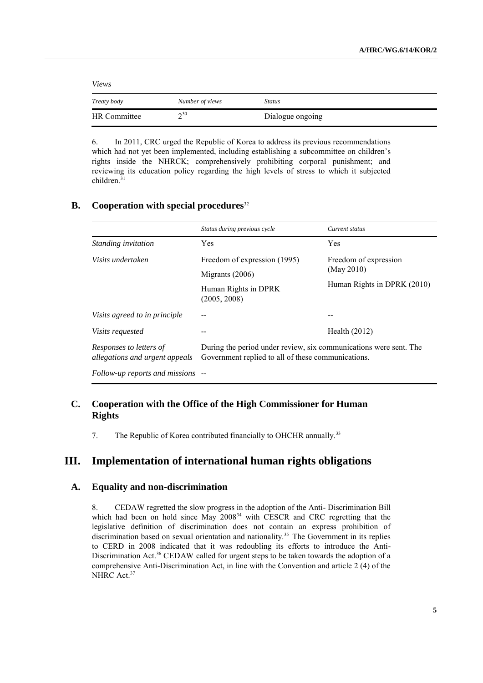| <i>Views</i> |                   |                  |
|--------------|-------------------|------------------|
| Treaty body  | Number of views   | <b>Status</b>    |
| HR Committee | $20^{\circ}$<br>- | Dialogue ongoing |

6. In 2011, CRC urged the Republic of Korea to address its previous recommendations which had not yet been implemented, including establishing a subcommittee on children's rights inside the NHRCK; comprehensively prohibiting corporal punishment; and reviewing its education policy regarding the high levels of stress to which it subjected children.<sup>31</sup>

## **B. Cooperation with special procedures**<sup>32</sup>

|                                                           | Status during previous cycle                                                                                            | Current status                      |
|-----------------------------------------------------------|-------------------------------------------------------------------------------------------------------------------------|-------------------------------------|
| Standing invitation                                       | <b>Yes</b>                                                                                                              | <b>Yes</b>                          |
| Visits undertaken                                         | Freedom of expression (1995)<br>Migrants (2006)                                                                         | Freedom of expression<br>(Mav 2010) |
|                                                           | Human Rights in DPRK<br>(2005, 2008)                                                                                    | Human Rights in DPRK (2010)         |
| Visits agreed to in principle                             |                                                                                                                         |                                     |
| <i>Visits requested</i>                                   |                                                                                                                         | Health $(2012)$                     |
| Responses to letters of<br>allegations and urgent appeals | During the period under review, six communications were sent. The<br>Government replied to all of these communications. |                                     |
| Follow-up reports and missions                            |                                                                                                                         |                                     |

## **C. Cooperation with the Office of the High Commissioner for Human Rights**

7. The Republic of Korea contributed financially to OHCHR annually.<sup>33</sup>

## **III. Implementation of international human rights obligations**

## **A. Equality and non-discrimination**

8. CEDAW regretted the slow progress in the adoption of the Anti- Discrimination Bill which had been on hold since May 2008<sup>34</sup> with CESCR and CRC regretting that the legislative definition of discrimination does not contain an express prohibition of discrimination based on sexual orientation and nationality.<sup>35</sup> The Government in its replies to CERD in 2008 indicated that it was redoubling its efforts to introduce the Anti-Discrimination Act.<sup>36</sup> CEDAW called for urgent steps to be taken towards the adoption of a comprehensive Anti-Discrimination Act, in line with the Convention and article 2 (4) of the NHRC Act.<sup>37</sup>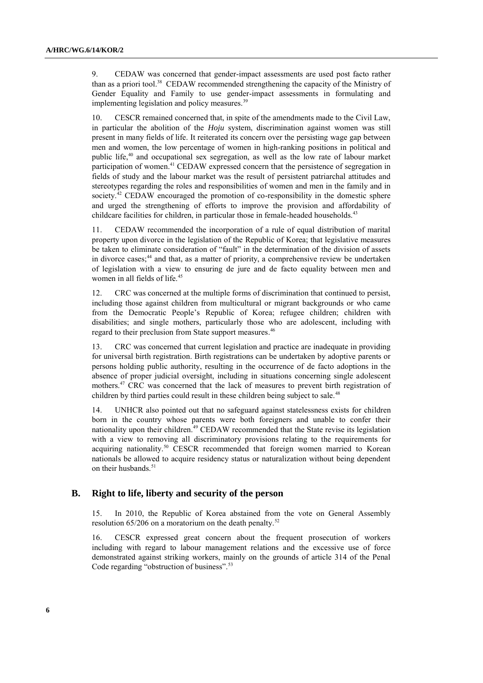9. CEDAW was concerned that gender-impact assessments are used post facto rather than as a priori tool.<sup>38</sup> CEDAW recommended strengthening the capacity of the Ministry of Gender Equality and Family to use gender-impact assessments in formulating and implementing legislation and policy measures.<sup>39</sup>

10. CESCR remained concerned that, in spite of the amendments made to the Civil Law, in particular the abolition of the *Hoju* system, discrimination against women was still present in many fields of life. It reiterated its concern over the persisting wage gap between men and women, the low percentage of women in high-ranking positions in political and public life,<sup>40</sup> and occupational sex segregation, as well as the low rate of labour market participation of women.<sup>41</sup> CEDAW expressed concern that the persistence of segregation in fields of study and the labour market was the result of persistent patriarchal attitudes and stereotypes regarding the roles and responsibilities of women and men in the family and in society.<sup>42</sup> CEDAW encouraged the promotion of co-responsibility in the domestic sphere and urged the strengthening of efforts to improve the provision and affordability of childcare facilities for children, in particular those in female-headed households.<sup>43</sup>

11. CEDAW recommended the incorporation of a rule of equal distribution of marital property upon divorce in the legislation of the Republic of Korea; that legislative measures be taken to eliminate consideration of "fault" in the determination of the division of assets in divorce cases;<sup>44</sup> and that, as a matter of priority, a comprehensive review be undertaken of legislation with a view to ensuring de jure and de facto equality between men and women in all fields of life.<sup>45</sup>

12. CRC was concerned at the multiple forms of discrimination that continued to persist, including those against children from multicultural or migrant backgrounds or who came from the Democratic People's Republic of Korea; refugee children; children with disabilities; and single mothers, particularly those who are adolescent, including with regard to their preclusion from State support measures.<sup>46</sup>

13. CRC was concerned that current legislation and practice are inadequate in providing for universal birth registration. Birth registrations can be undertaken by adoptive parents or persons holding public authority, resulting in the occurrence of de facto adoptions in the absence of proper judicial oversight, including in situations concerning single adolescent mothers.<sup>47</sup> CRC was concerned that the lack of measures to prevent birth registration of children by third parties could result in these children being subject to sale.<sup>48</sup>

14. UNHCR also pointed out that no safeguard against statelessness exists for children born in the country whose parents were both foreigners and unable to confer their nationality upon their children.<sup>49</sup> CEDAW recommended that the State revise its legislation with a view to removing all discriminatory provisions relating to the requirements for acquiring nationality.<sup>50</sup> CESCR recommended that foreign women married to Korean nationals be allowed to acquire residency status or naturalization without being dependent on their husbands.<sup>51</sup>

## **B. Right to life, liberty and security of the person**

15. In 2010, the Republic of Korea abstained from the vote on General Assembly resolution  $65/206$  on a moratorium on the death penalty.<sup>52</sup>

16. CESCR expressed great concern about the frequent prosecution of workers including with regard to labour management relations and the excessive use of force demonstrated against striking workers, mainly on the grounds of article 314 of the Penal Code regarding "obstruction of business".<sup>53</sup>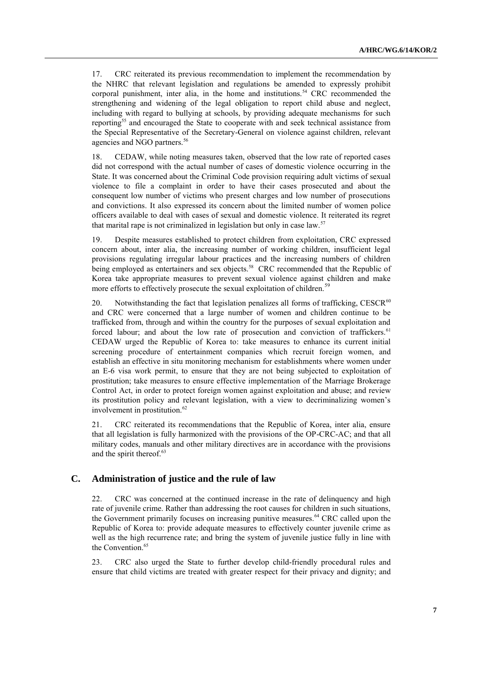17. CRC reiterated its previous recommendation to implement the recommendation by the NHRC that relevant legislation and regulations be amended to expressly prohibit corporal punishment, inter alia, in the home and institutions.<sup>54</sup> CRC recommended the strengthening and widening of the legal obligation to report child abuse and neglect, including with regard to bullying at schools, by providing adequate mechanisms for such reporting<sup>55</sup> and encouraged the State to cooperate with and seek technical assistance from the Special Representative of the Secretary-General on violence against children, relevant agencies and NGO partners.<sup>56</sup>

18. CEDAW, while noting measures taken, observed that the low rate of reported cases did not correspond with the actual number of cases of domestic violence occurring in the State. It was concerned about the Criminal Code provision requiring adult victims of sexual violence to file a complaint in order to have their cases prosecuted and about the consequent low number of victims who present charges and low number of prosecutions and convictions. It also expressed its concern about the limited number of women police officers available to deal with cases of sexual and domestic violence. It reiterated its regret that marital rape is not criminalized in legislation but only in case law.<sup>57</sup>

19. Despite measures established to protect children from exploitation, CRC expressed concern about, inter alia, the increasing number of working children, insufficient legal provisions regulating irregular labour practices and the increasing numbers of children being employed as entertainers and sex objects.<sup>58</sup> CRC recommended that the Republic of Korea take appropriate measures to prevent sexual violence against children and make more efforts to effectively prosecute the sexual exploitation of children.<sup>59</sup>

20. Notwithstanding the fact that legislation penalizes all forms of trafficking, CESCR<sup>60</sup> and CRC were concerned that a large number of women and children continue to be trafficked from, through and within the country for the purposes of sexual exploitation and forced labour; and about the low rate of prosecution and conviction of traffickers.<sup>61</sup> CEDAW urged the Republic of Korea to: take measures to enhance its current initial screening procedure of entertainment companies which recruit foreign women, and establish an effective in situ monitoring mechanism for establishments where women under an E-6 visa work permit, to ensure that they are not being subjected to exploitation of prostitution; take measures to ensure effective implementation of the Marriage Brokerage Control Act, in order to protect foreign women against exploitation and abuse; and review its prostitution policy and relevant legislation, with a view to decriminalizing women's involvement in prostitution.<sup>62</sup>

21. CRC reiterated its recommendations that the Republic of Korea, inter alia, ensure that all legislation is fully harmonized with the provisions of the OP-CRC-AC; and that all military codes, manuals and other military directives are in accordance with the provisions and the spirit thereof. 63

## **C. Administration of justice and the rule of law**

22. CRC was concerned at the continued increase in the rate of delinquency and high rate of juvenile crime. Rather than addressing the root causes for children in such situations, the Government primarily focuses on increasing punitive measures.<sup>64</sup> CRC called upon the Republic of Korea to: provide adequate measures to effectively counter juvenile crime as well as the high recurrence rate; and bring the system of juvenile justice fully in line with the Convention.<sup>65</sup>

23. CRC also urged the State to further develop child-friendly procedural rules and ensure that child victims are treated with greater respect for their privacy and dignity; and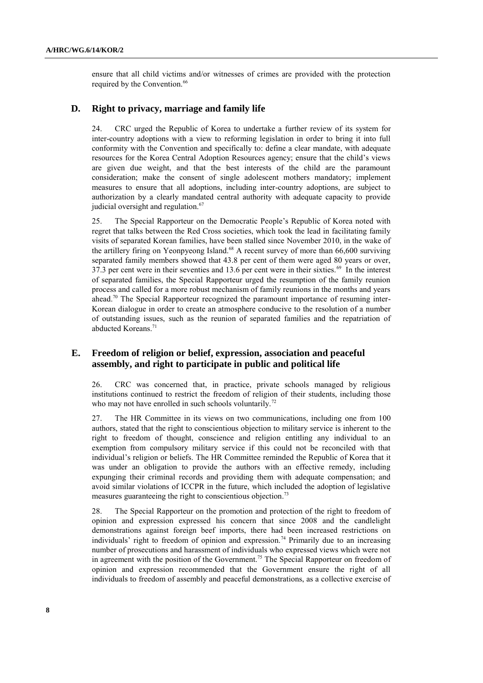ensure that all child victims and/or witnesses of crimes are provided with the protection required by the Convention.<sup>66</sup>

#### **D. Right to privacy, marriage and family life**

24. CRC urged the Republic of Korea to undertake a further review of its system for inter-country adoptions with a view to reforming legislation in order to bring it into full conformity with the Convention and specifically to: define a clear mandate, with adequate resources for the Korea Central Adoption Resources agency; ensure that the child's views are given due weight, and that the best interests of the child are the paramount consideration; make the consent of single adolescent mothers mandatory; implement measures to ensure that all adoptions, including inter-country adoptions, are subject to authorization by a clearly mandated central authority with adequate capacity to provide judicial oversight and regulation.<sup>67</sup>

25. The Special Rapporteur on the Democratic People's Republic of Korea noted with regret that talks between the Red Cross societies, which took the lead in facilitating family visits of separated Korean families, have been stalled since November 2010, in the wake of the artillery firing on Yeonpyeong Island.<sup>68</sup> A recent survey of more than 66,600 surviving separated family members showed that 43.8 per cent of them were aged 80 years or over, 37.3 per cent were in their seventies and 13.6 per cent were in their sixties.<sup>69</sup> In the interest of separated families, the Special Rapporteur urged the resumption of the family reunion process and called for a more robust mechanism of family reunions in the months and years ahead.<sup>70</sup> The Special Rapporteur recognized the paramount importance of resuming inter-Korean dialogue in order to create an atmosphere conducive to the resolution of a number of outstanding issues, such as the reunion of separated families and the repatriation of abducted Koreans.<sup>71</sup>

## **E. Freedom of religion or belief, expression, association and peaceful assembly, and right to participate in public and political life**

26. CRC was concerned that, in practice, private schools managed by religious institutions continued to restrict the freedom of religion of their students, including those who may not have enrolled in such schools voluntarily.<sup>72</sup>

27. The HR Committee in its views on two communications, including one from 100 authors, stated that the right to conscientious objection to military service is inherent to the right to freedom of thought, conscience and religion entitling any individual to an exemption from compulsory military service if this could not be reconciled with that individual's religion or beliefs. The HR Committee reminded the Republic of Korea that it was under an obligation to provide the authors with an effective remedy, including expunging their criminal records and providing them with adequate compensation; and avoid similar violations of ICCPR in the future, which included the adoption of legislative measures guaranteeing the right to conscientious objection.<sup>73</sup>

28. The Special Rapporteur on the promotion and protection of the right to freedom of opinion and expression expressed his concern that since 2008 and the candlelight demonstrations against foreign beef imports, there had been increased restrictions on individuals' right to freedom of opinion and expression.<sup>74</sup> Primarily due to an increasing number of prosecutions and harassment of individuals who expressed views which were not in agreement with the position of the Government.<sup>75</sup> The Special Rapporteur on freedom of opinion and expression recommended that the Government ensure the right of all individuals to freedom of assembly and peaceful demonstrations, as a collective exercise of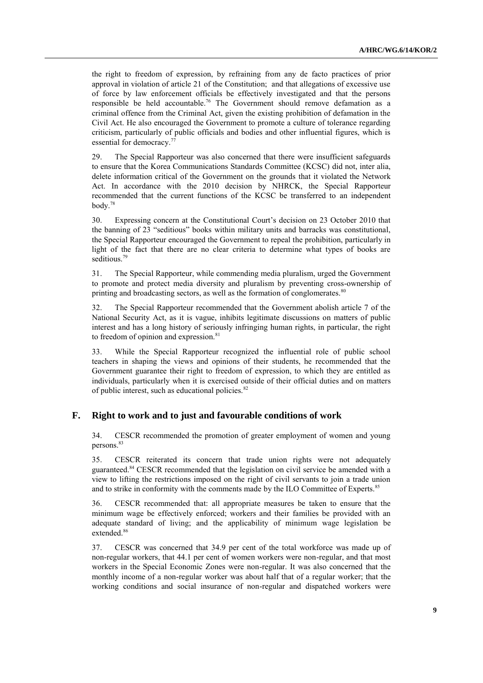the right to freedom of expression, by refraining from any de facto practices of prior approval in violation of article 21 of the Constitution; and that allegations of excessive use of force by law enforcement officials be effectively investigated and that the persons responsible be held accountable.<sup>76</sup> The Government should remove defamation as a criminal offence from the Criminal Act, given the existing prohibition of defamation in the Civil Act. He also encouraged the Government to promote a culture of tolerance regarding criticism, particularly of public officials and bodies and other influential figures, which is essential for democracy.<sup>77</sup>

29. The Special Rapporteur was also concerned that there were insufficient safeguards to ensure that the Korea Communications Standards Committee (KCSC) did not, inter alia, delete information critical of the Government on the grounds that it violated the Network Act. In accordance with the 2010 decision by NHRCK, the Special Rapporteur recommended that the current functions of the KCSC be transferred to an independent body.<sup>78</sup>

30. Expressing concern at the Constitutional Court's decision on 23 October 2010 that the banning of 23 "seditious" books within military units and barracks was constitutional, the Special Rapporteur encouraged the Government to repeal the prohibition, particularly in light of the fact that there are no clear criteria to determine what types of books are seditious.<sup>79</sup>

31. The Special Rapporteur, while commending media pluralism, urged the Government to promote and protect media diversity and pluralism by preventing cross-ownership of printing and broadcasting sectors, as well as the formation of conglomerates.<sup>80</sup>

32. The Special Rapporteur recommended that the Government abolish article 7 of the National Security Act, as it is vague, inhibits legitimate discussions on matters of public interest and has a long history of seriously infringing human rights, in particular, the right to freedom of opinion and expression.<sup>81</sup>

33. While the Special Rapporteur recognized the influential role of public school teachers in shaping the views and opinions of their students, he recommended that the Government guarantee their right to freedom of expression, to which they are entitled as individuals, particularly when it is exercised outside of their official duties and on matters of public interest, such as educational policies.<sup>82</sup>

## **F. Right to work and to just and favourable conditions of work**

34. CESCR recommended the promotion of greater employment of women and young persons.<sup>83</sup>

35. CESCR reiterated its concern that trade union rights were not adequately guaranteed.<sup>84</sup> CESCR recommended that the legislation on civil service be amended with a view to lifting the restrictions imposed on the right of civil servants to join a trade union and to strike in conformity with the comments made by the ILO Committee of Experts.<sup>85</sup>

36. CESCR recommended that: all appropriate measures be taken to ensure that the minimum wage be effectively enforced; workers and their families be provided with an adequate standard of living; and the applicability of minimum wage legislation be extended.<sup>86</sup>

37. CESCR was concerned that 34.9 per cent of the total workforce was made up of non-regular workers, that 44.1 per cent of women workers were non-regular, and that most workers in the Special Economic Zones were non-regular. It was also concerned that the monthly income of a non-regular worker was about half that of a regular worker; that the working conditions and social insurance of non-regular and dispatched workers were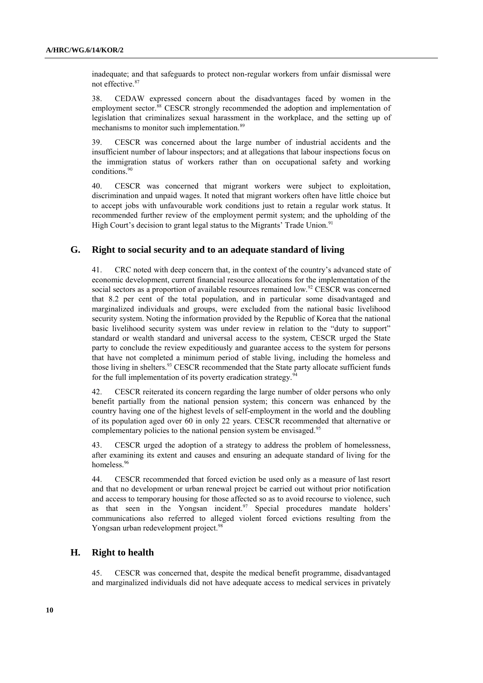inadequate; and that safeguards to protect non-regular workers from unfair dismissal were not effective. 87

38. CEDAW expressed concern about the disadvantages faced by women in the employment sector.<sup>88</sup> CESCR strongly recommended the adoption and implementation of legislation that criminalizes sexual harassment in the workplace, and the setting up of mechanisms to monitor such implementation.<sup>89</sup>

39. CESCR was concerned about the large number of industrial accidents and the insufficient number of labour inspectors; and at allegations that labour inspections focus on the immigration status of workers rather than on occupational safety and working conditions. 90

40. CESCR was concerned that migrant workers were subject to exploitation, discrimination and unpaid wages. It noted that migrant workers often have little choice but to accept jobs with unfavourable work conditions just to retain a regular work status. It recommended further review of the employment permit system; and the upholding of the High Court's decision to grant legal status to the Migrants' Trade Union.<sup>91</sup>

## **G. Right to social security and to an adequate standard of living**

41. CRC noted with deep concern that, in the context of the country's advanced state of economic development, current financial resource allocations for the implementation of the social sectors as a proportion of available resources remained low.<sup>92</sup> CESCR was concerned that 8.2 per cent of the total population, and in particular some disadvantaged and marginalized individuals and groups, were excluded from the national basic livelihood security system. Noting the information provided by the Republic of Korea that the national basic livelihood security system was under review in relation to the "duty to support" standard or wealth standard and universal access to the system, CESCR urged the State party to conclude the review expeditiously and guarantee access to the system for persons that have not completed a minimum period of stable living, including the homeless and those living in shelters.<sup>93</sup> CESCR recommended that the State party allocate sufficient funds for the full implementation of its poverty eradication strategy. $94$ 

42. CESCR reiterated its concern regarding the large number of older persons who only benefit partially from the national pension system; this concern was enhanced by the country having one of the highest levels of self-employment in the world and the doubling of its population aged over 60 in only 22 years. CESCR recommended that alternative or complementary policies to the national pension system be envisaged.<sup>95</sup>

43. CESCR urged the adoption of a strategy to address the problem of homelessness, after examining its extent and causes and ensuring an adequate standard of living for the homeless.<sup>96</sup>

44. CESCR recommended that forced eviction be used only as a measure of last resort and that no development or urban renewal project be carried out without prior notification and access to temporary housing for those affected so as to avoid recourse to violence, such as that seen in the Yongsan incident.<sup>97</sup> Special procedures mandate holders' communications also referred to alleged violent forced evictions resulting from the Yongsan urban redevelopment project.<sup>98</sup>

#### **H. Right to health**

45. CESCR was concerned that, despite the medical benefit programme, disadvantaged and marginalized individuals did not have adequate access to medical services in privately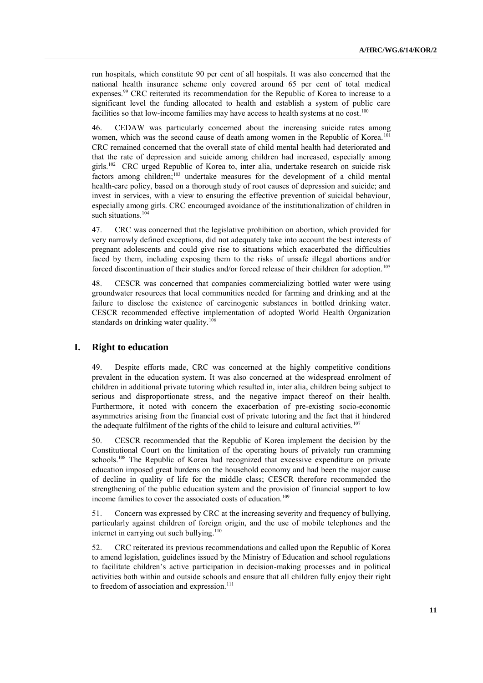run hospitals, which constitute 90 per cent of all hospitals. It was also concerned that the national health insurance scheme only covered around 65 per cent of total medical expenses.<sup>99</sup> CRC reiterated its recommendation for the Republic of Korea to increase to a significant level the funding allocated to health and establish a system of public care facilities so that low-income families may have access to health systems at no cost.<sup>100</sup>

46. CEDAW was particularly concerned about the increasing suicide rates among women, which was the second cause of death among women in the Republic of Korea.<sup>101</sup> CRC remained concerned that the overall state of child mental health had deteriorated and that the rate of depression and suicide among children had increased, especially among girls.<sup>102</sup> CRC urged Republic of Korea to, inter alia, undertake research on suicide risk factors among children;<sup>103</sup> undertake measures for the development of a child mental health-care policy, based on a thorough study of root causes of depression and suicide; and invest in services, with a view to ensuring the effective prevention of suicidal behaviour, especially among girls. CRC encouraged avoidance of the institutionalization of children in such situations.<sup>104</sup>

47. CRC was concerned that the legislative prohibition on abortion, which provided for very narrowly defined exceptions, did not adequately take into account the best interests of pregnant adolescents and could give rise to situations which exacerbated the difficulties faced by them, including exposing them to the risks of unsafe illegal abortions and/or forced discontinuation of their studies and/or forced release of their children for adoption.<sup>105</sup>

48. CESCR was concerned that companies commercializing bottled water were using groundwater resources that local communities needed for farming and drinking and at the failure to disclose the existence of carcinogenic substances in bottled drinking water. CESCR recommended effective implementation of adopted World Health Organization standards on drinking water quality.<sup>106</sup>

## **I. Right to education**

49. Despite efforts made, CRC was concerned at the highly competitive conditions prevalent in the education system. It was also concerned at the widespread enrolment of children in additional private tutoring which resulted in, inter alia, children being subject to serious and disproportionate stress, and the negative impact thereof on their health. Furthermore, it noted with concern the exacerbation of pre-existing socio-economic asymmetries arising from the financial cost of private tutoring and the fact that it hindered the adequate fulfilment of the rights of the child to leisure and cultural activities.<sup>107</sup>

50. CESCR recommended that the Republic of Korea implement the decision by the Constitutional Court on the limitation of the operating hours of privately run cramming schools.<sup>108</sup> The Republic of Korea had recognized that excessive expenditure on private education imposed great burdens on the household economy and had been the major cause of decline in quality of life for the middle class; CESCR therefore recommended the strengthening of the public education system and the provision of financial support to low income families to cover the associated costs of education.<sup>109</sup>

51. Concern was expressed by CRC at the increasing severity and frequency of bullying, particularly against children of foreign origin, and the use of mobile telephones and the internet in carrying out such bullying.<sup>110</sup>

52. CRC reiterated its previous recommendations and called upon the Republic of Korea to amend legislation, guidelines issued by the Ministry of Education and school regulations to facilitate children's active participation in decision-making processes and in political activities both within and outside schools and ensure that all children fully enjoy their right to freedom of association and expression.<sup>111</sup>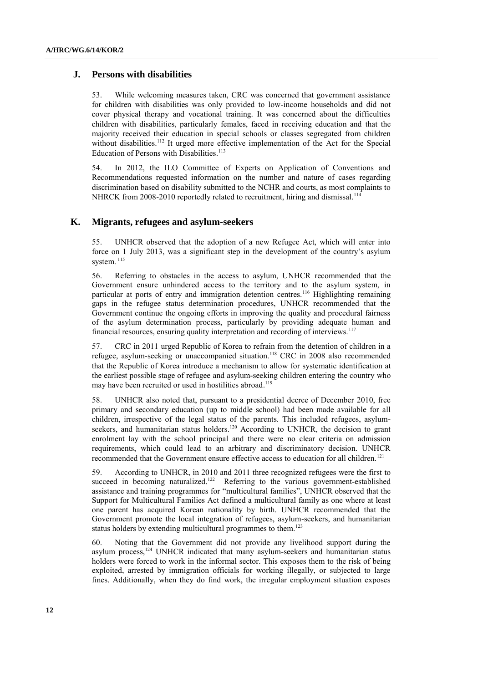## **J. Persons with disabilities**

53. While welcoming measures taken, CRC was concerned that government assistance for children with disabilities was only provided to low-income households and did not cover physical therapy and vocational training. It was concerned about the difficulties children with disabilities, particularly females, faced in receiving education and that the majority received their education in special schools or classes segregated from children without disabilities.<sup>112</sup> It urged more effective implementation of the Act for the Special Education of Persons with Disabilities.<sup>113</sup>

54. In 2012, the ILO Committee of Experts on Application of Conventions and Recommendations requested information on the number and nature of cases regarding discrimination based on disability submitted to the NCHR and courts, as most complaints to NHRCK from 2008-2010 reportedly related to recruitment, hiring and dismissal.<sup>114</sup>

#### **K. Migrants, refugees and asylum-seekers**

55. UNHCR observed that the adoption of a new Refugee Act, which will enter into force on 1 July 2013, was a significant step in the development of the country's asylum system.<sup>115</sup>

56. Referring to obstacles in the access to asylum, UNHCR recommended that the Government ensure unhindered access to the territory and to the asylum system, in particular at ports of entry and immigration detention centres.<sup>116</sup> Highlighting remaining gaps in the refugee status determination procedures, UNHCR recommended that the Government continue the ongoing efforts in improving the quality and procedural fairness of the asylum determination process, particularly by providing adequate human and financial resources, ensuring quality interpretation and recording of interviews.<sup>117</sup>

57. CRC in 2011 urged Republic of Korea to refrain from the detention of children in a refugee, asylum-seeking or unaccompanied situation.<sup>118</sup> CRC in 2008 also recommended that the Republic of Korea introduce a mechanism to allow for systematic identification at the earliest possible stage of refugee and asylum-seeking children entering the country who may have been recruited or used in hostilities abroad.<sup>119</sup>

58. UNHCR also noted that, pursuant to a presidential decree of December 2010, free primary and secondary education (up to middle school) had been made available for all children, irrespective of the legal status of the parents. This included refugees, asylumseekers, and humanitarian status holders.<sup>120</sup> According to UNHCR, the decision to grant enrolment lay with the school principal and there were no clear criteria on admission requirements, which could lead to an arbitrary and discriminatory decision. UNHCR recommended that the Government ensure effective access to education for all children.<sup>121</sup>

59. According to UNHCR, in 2010 and 2011 three recognized refugees were the first to succeed in becoming naturalized.<sup>122</sup> Referring to the various government-established assistance and training programmes for "multicultural families", UNHCR observed that the Support for Multicultural Families Act defined a multicultural family as one where at least one parent has acquired Korean nationality by birth. UNHCR recommended that the Government promote the local integration of refugees, asylum-seekers, and humanitarian status holders by extending multicultural programmes to them.<sup>123</sup>

60. Noting that the Government did not provide any livelihood support during the asylum process,<sup>124</sup> UNHCR indicated that many asylum-seekers and humanitarian status holders were forced to work in the informal sector. This exposes them to the risk of being exploited, arrested by immigration officials for working illegally, or subjected to large fines. Additionally, when they do find work, the irregular employment situation exposes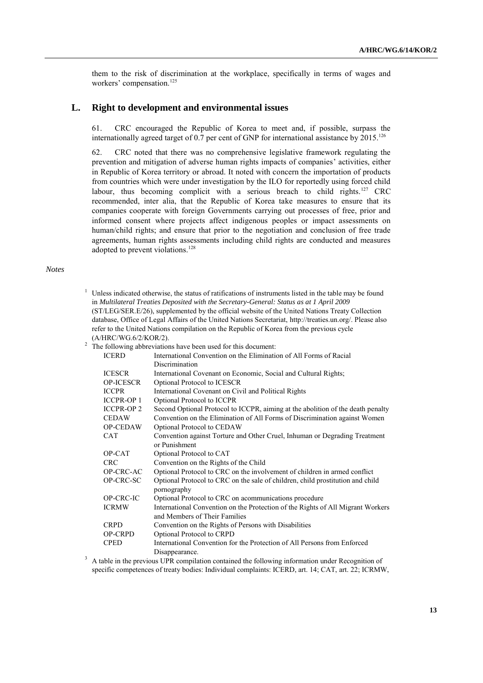them to the risk of discrimination at the workplace, specifically in terms of wages and workers' compensation.<sup>125</sup>

## **L. Right to development and environmental issues**

61. CRC encouraged the Republic of Korea to meet and, if possible, surpass the internationally agreed target of  $0.7$  per cent of GNP for international assistance by  $2015$ .<sup>126</sup>

62. CRC noted that there was no comprehensive legislative framework regulating the prevention and mitigation of adverse human rights impacts of companies' activities, either in Republic of Korea territory or abroad. It noted with concern the importation of products from countries which were under investigation by the ILO for reportedly using forced child labour, thus becoming complicit with a serious breach to child rights.<sup>127</sup> CRC recommended, inter alia, that the Republic of Korea take measures to ensure that its companies cooperate with foreign Governments carrying out processes of free, prior and informed consent where projects affect indigenous peoples or impact assessments on human/child rights; and ensure that prior to the negotiation and conclusion of free trade agreements, human rights assessments including child rights are conducted and measures adopted to prevent violations.<sup>128</sup>

#### *Notes*

|                                                                                 | Unless indicated otherwise, the status of ratifications of instruments listed in the table may be found<br>in Multilateral Treaties Deposited with the Secretary-General: Status as at 1 April 2009<br>(ST/LEG/SER.E/26), supplemented by the official website of the United Nations Treaty Collection |                                                                                                                  |  |  |
|---------------------------------------------------------------------------------|--------------------------------------------------------------------------------------------------------------------------------------------------------------------------------------------------------------------------------------------------------------------------------------------------------|------------------------------------------------------------------------------------------------------------------|--|--|
|                                                                                 | database, Office of Legal Affairs of the United Nations Secretariat, http://treaties.un.org/. Please also                                                                                                                                                                                              |                                                                                                                  |  |  |
|                                                                                 | refer to the United Nations compilation on the Republic of Korea from the previous cycle                                                                                                                                                                                                               |                                                                                                                  |  |  |
| (A/HRC/WG.6/2/KOR/2).                                                           |                                                                                                                                                                                                                                                                                                        |                                                                                                                  |  |  |
| $\overline{c}$<br>The following abbreviations have been used for this document: |                                                                                                                                                                                                                                                                                                        |                                                                                                                  |  |  |
|                                                                                 | <b>ICERD</b>                                                                                                                                                                                                                                                                                           | International Convention on the Elimination of All Forms of Racial                                               |  |  |
|                                                                                 |                                                                                                                                                                                                                                                                                                        | Discrimination                                                                                                   |  |  |
|                                                                                 | <b>ICESCR</b>                                                                                                                                                                                                                                                                                          | International Covenant on Economic, Social and Cultural Rights;                                                  |  |  |
|                                                                                 | <b>OP-ICESCR</b>                                                                                                                                                                                                                                                                                       | Optional Protocol to ICESCR                                                                                      |  |  |
|                                                                                 | <b>ICCPR</b>                                                                                                                                                                                                                                                                                           | International Covenant on Civil and Political Rights                                                             |  |  |
|                                                                                 | <b>ICCPR-OP1</b>                                                                                                                                                                                                                                                                                       | Optional Protocol to ICCPR                                                                                       |  |  |
|                                                                                 | <b>ICCPR-OP 2</b>                                                                                                                                                                                                                                                                                      | Second Optional Protocol to ICCPR, aiming at the abolition of the death penalty                                  |  |  |
|                                                                                 | <b>CEDAW</b>                                                                                                                                                                                                                                                                                           | Convention on the Elimination of All Forms of Discrimination against Women                                       |  |  |
|                                                                                 | <b>OP-CEDAW</b>                                                                                                                                                                                                                                                                                        | Optional Protocol to CEDAW                                                                                       |  |  |
|                                                                                 | <b>CAT</b>                                                                                                                                                                                                                                                                                             | Convention against Torture and Other Cruel, Inhuman or Degrading Treatment                                       |  |  |
|                                                                                 |                                                                                                                                                                                                                                                                                                        | or Punishment                                                                                                    |  |  |
|                                                                                 | OP-CAT                                                                                                                                                                                                                                                                                                 | Optional Protocol to CAT                                                                                         |  |  |
|                                                                                 | <b>CRC</b>                                                                                                                                                                                                                                                                                             | Convention on the Rights of the Child                                                                            |  |  |
|                                                                                 | <b>OP-CRC-AC</b>                                                                                                                                                                                                                                                                                       | Optional Protocol to CRC on the involvement of children in armed conflict                                        |  |  |
|                                                                                 | OP-CRC-SC                                                                                                                                                                                                                                                                                              | Optional Protocol to CRC on the sale of children, child prostitution and child                                   |  |  |
|                                                                                 |                                                                                                                                                                                                                                                                                                        | pornography                                                                                                      |  |  |
|                                                                                 | OP-CRC-IC                                                                                                                                                                                                                                                                                              | Optional Protocol to CRC on acommunications procedure                                                            |  |  |
|                                                                                 | <b>ICRMW</b>                                                                                                                                                                                                                                                                                           | International Convention on the Protection of the Rights of All Migrant Workers<br>and Members of Their Families |  |  |
|                                                                                 | <b>CRPD</b>                                                                                                                                                                                                                                                                                            | Convention on the Rights of Persons with Disabilities                                                            |  |  |
|                                                                                 | <b>OP-CRPD</b>                                                                                                                                                                                                                                                                                         | Optional Protocol to CRPD                                                                                        |  |  |
|                                                                                 | <b>CPED</b>                                                                                                                                                                                                                                                                                            | International Convention for the Protection of All Persons from Enforced                                         |  |  |
|                                                                                 |                                                                                                                                                                                                                                                                                                        | Disappearance.                                                                                                   |  |  |
| ÷.                                                                              |                                                                                                                                                                                                                                                                                                        |                                                                                                                  |  |  |

<sup>3</sup> A table in the previous UPR compilation contained the following information under Recognition of specific competences of treaty bodies: Individual complaints: ICERD, art. 14; CAT, art. 22; ICRMW,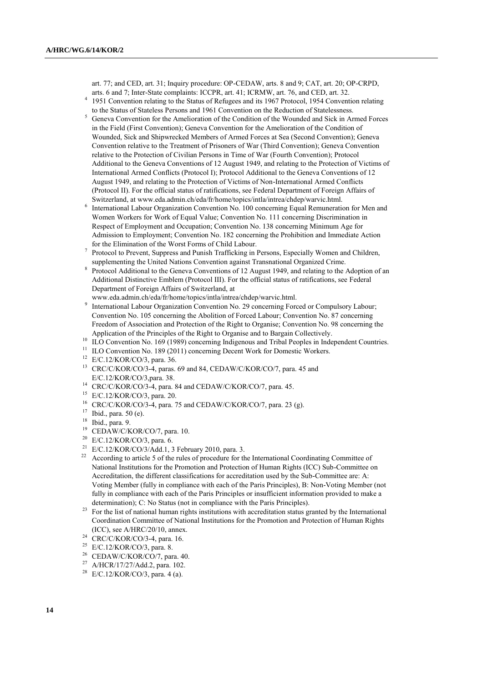art. 77; and CED, art. 31; Inquiry procedure: OP-CEDAW, arts. 8 and 9; CAT, art. 20; OP-CRPD, arts. 6 and 7; Inter-State complaints: ICCPR, art. 41; ICRMW, art. 76, and CED, art. 32.

- <sup>4</sup> 1951 Convention relating to the Status of Refugees and its 1967 Protocol, 1954 Convention relating to the Status of Stateless Persons and 1961 Convention on the Reduction of Statelessness.
- <sup>5</sup> Geneva Convention for the Amelioration of the Condition of the Wounded and Sick in Armed Forces in the Field (First Convention); Geneva Convention for the Amelioration of the Condition of Wounded, Sick and Shipwrecked Members of Armed Forces at Sea (Second Convention); Geneva Convention relative to the Treatment of Prisoners of War (Third Convention); Geneva Convention relative to the Protection of Civilian Persons in Time of War (Fourth Convention); Protocol Additional to the Geneva Conventions of 12 August 1949, and relating to the Protection of Victims of International Armed Conflicts (Protocol I); Protocol Additional to the Geneva Conventions of 12 August 1949, and relating to the Protection of Victims of Non-International Armed Conflicts (Protocol II). For the official status of ratifications, see Federal Department of Foreign Affairs of Switzerland, at www.eda.admin.ch/eda/fr/home/topics/intla/intrea/chdep/warvic.html.
- <sup>6</sup> International Labour Organization Convention No. 100 concerning Equal Remuneration for Men and Women Workers for Work of Equal Value; Convention No. 111 concerning Discrimination in Respect of Employment and Occupation; Convention No. 138 concerning Minimum Age for Admission to Employment; Convention No. 182 concerning the Prohibition and Immediate Action for the Elimination of the Worst Forms of Child Labour.
- 7 Protocol to Prevent, Suppress and Punish Trafficking in Persons, Especially Women and Children, supplementing the United Nations Convention against Transnational Organized Crime.
- <sup>8</sup> Protocol Additional to the Geneva Conventions of 12 August 1949, and relating to the Adoption of an Additional Distinctive Emblem (Protocol III). For the official status of ratifications, see Federal Department of Foreign Affairs of Switzerland, at www.eda.admin.ch/eda/fr/home/topics/intla/intrea/chdep/warvic.html.
- <sup>9</sup> International Labour Organization Convention No. 29 concerning Forced or Compulsory Labour; Convention No. 105 concerning the Abolition of Forced Labour; Convention No. 87 concerning Freedom of Association and Protection of the Right to Organise; Convention No. 98 concerning the Application of the Principles of the Right to Organise and to Bargain Collectively.
- <sup>10</sup> ILO Convention No. 169 (1989) concerning Indigenous and Tribal Peoples in Independent Countries.
- <sup>11</sup> ILO Convention No. 189 (2011) concerning Decent Work for Domestic Workers.
- <sup>12</sup> E/C.12/KOR/CO/3, para. 36.
- <sup>13</sup> CRC/C/KOR/CO/3-4, paras. 69 and 84, CEDAW/C/KOR/CO/7, para. 45 and E/C.12/KOR/CO/3,para. 38.
- <sup>14</sup> CRC/C/KOR/CO/3-4, para. 84 and CEDAW/C/KOR/CO/7, para. 45.
- <sup>15</sup> E/C.12/KOR/CO/3, para. 20.
- <sup>16</sup> CRC/C/KOR/CO/3-4, para. 75 and CEDAW/C/KOR/CO/7, para. 23 (g).
- $17$  Ibid., para. 50 (e).
- <sup>18</sup> Ibid., para. 9.
- <sup>19</sup> CEDAW/C/KOR/CO/7, para. 10.
- $20$  E/C.12/KOR/CO/3, para. 6.
- <sup>21</sup> E/C.12/KOR/CO/3/Add.1, 3 February 2010, para. 3.
- <sup>22</sup> According to article 5 of the rules of procedure for the International Coordinating Committee of National Institutions for the Promotion and Protection of Human Rights (ICC) Sub-Committee on Accreditation, the different classifications for accreditation used by the Sub-Committee are: A: Voting Member (fully in compliance with each of the Paris Principles), B: Non-Voting Member (not fully in compliance with each of the Paris Principles or insufficient information provided to make a determination); C: No Status (not in compliance with the Paris Principles).
- <sup>23</sup> For the list of national human rights institutions with accreditation status granted by the International Coordination Committee of National Institutions for the Promotion and Protection of Human Rights (ICC), see A/HRC/20/10, annex.
- <sup>24</sup> CRC/C/KOR/CO/3-4, para. 16.
- <sup>25</sup> E/C.12/KOR/CO/3, para. 8.<br><sup>26</sup> CEDAN/C/KOR/CO/7, para.
- CEDAW/C/KOR/CO/7, para. 40.
- <sup>27</sup> A/HCR/17/27/Add.2, para. 102.
- <sup>28</sup> E/C.12/KOR/CO/3, para. 4 (a).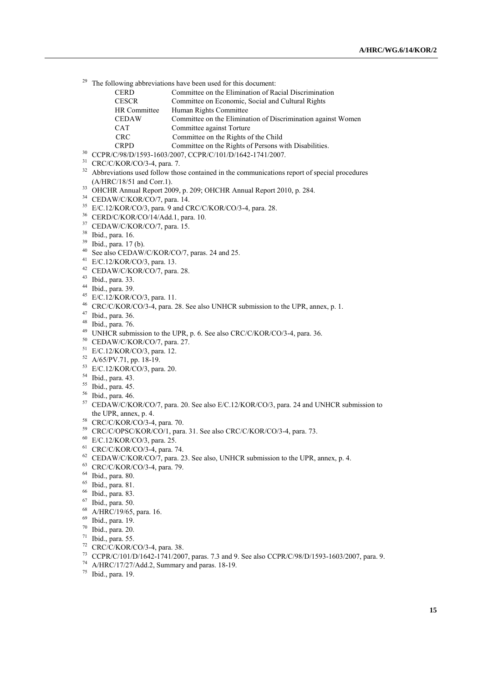- <sup>29</sup> The following abbreviations have been used for this document:<br>CERD Committee on the Elimination of Ra
	- CERD Committee on the Elimination of Racial Discrimination<br>CESCR Committee on Economic. Social and Cultural Rights
	- CESCR Committee on Economic, Social and Cultural Rights
	- HR Committee Human Rights Committee<br>CEDAW Committee on the Elimina
	- CEDAW Committee on the Elimination of Discrimination against Women<br>CAT Committee against Torture
	- CAT Committee against Torture<br>CRC Committee on the Rights of
	- CRC Committee on the Rights of the Child<br>CRPD Committee on the Rights of Persons w
	- Committee on the Rights of Persons with Disabilities.
- CCPR/C/98/D/1593-1603/2007, CCPR/C/101/D/1642-1741/2007.
- CRC/C/KOR/CO/3-4, para. 7.
- <sup>32</sup> Abbreviations used follow those contained in the communications report of special procedures (A/HRC/18/51 and Corr.1).
- <sup>33</sup> OHCHR Annual Report 2009, p. 209; OHCHR Annual Report 2010, p. 284.
- <sup>34</sup> CEDAW/C/KOR/CO/7, para. 14.
- <sup>35</sup> E/C.12/KOR/CO/3, para. 9 and CRC/C/KOR/CO/3-4, para. 28.
- CERD/C/KOR/CO/14/Add.1, para. 10.
- CEDAW/C/KOR/CO/7, para. 15.
- Ibid., para. 16.
- Ibid., para. 17 (b).
- See also CEDAW/C/KOR/CO/7, paras. 24 and 25.
- E/C.12/KOR/CO/3, para. 13.
- CEDAW/C/KOR/CO/7, para. 28.
- Ibid., para. 33.
- Ibid., para. 39.
- E/C.12/KOR/CO/3, para. 11.
- CRC/C/KOR/CO/3-4, para. 28. See also UNHCR submission to the UPR, annex, p. 1.
- Ibid., para. 36.
- Ibid., para. 76.
- <sup>49</sup> UNHCR submission to the UPR, p. 6. See also CRC/C/KOR/CO/3-4, para. 36.
- CEDAW/C/KOR/CO/7, para. 27.
- E/C.12/KOR/CO/3, para. 12.
- A/65/PV.71, pp. 18-19.
- E/C.12/KOR/CO/3, para. 20.
- Ibid., para. 43.
- Ibid., para. 45.
- Ibid., para. 46.
- CEDAW/C/KOR/CO/7, para. 20. See also E/C.12/KOR/CO/3, para. 24 and UNHCR submission to the UPR, annex, p. 4.
- CRC/C/KOR/CO/3-4, para. 70.
- CRC/C/OPSC/KOR/CO/1, para. 31. See also CRC/C/KOR/CO/3-4, para. 73.
- E/C.12/KOR/CO/3, para. 25.
- CRC/C/KOR/CO/3-4, para. 74.
- CEDAW/C/KOR/CO/7, para. 23. See also, UNHCR submission to the UPR, annex, p. 4.
- CRC/C/KOR/CO/3-4, para. 79.
- Ibid., para. 80.
- Ibid., para. 81.
- Ibid., para. 83.
- Ibid., para. 50.
- A/HRC/19/65, para. 16.
- Ibid., para. 19.
- Ibid., para. 20.
- Ibid., para. 55.
- CRC/C/KOR/CO/3-4, para. 38.
- CCPR/C/101/D/1642-1741/2007, paras. 7.3 and 9. See also CCPR/C/98/D/1593-1603/2007, para. 9.
- A/HRC/17/27/Add.2, Summary and paras. 18-19.
- Ibid., para. 19.